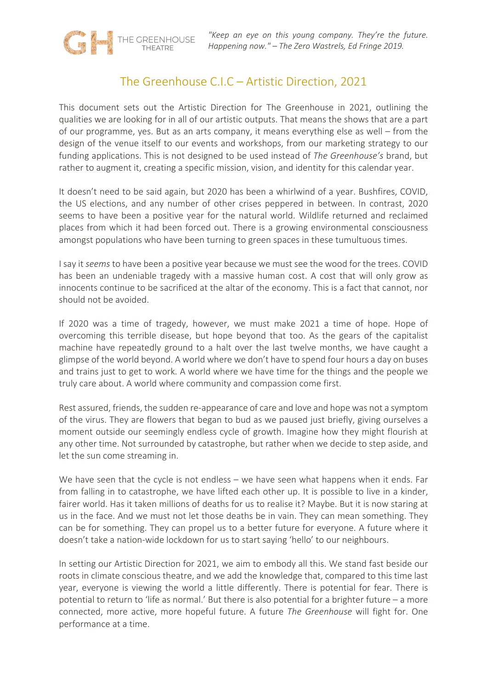# The Greenhouse C.I.C – Artistic Direction, 2021

THE GREENHOUSE

This document sets out the Artistic Direction for The Greenhouse in 2021, outlining the qualities we are looking for in all of our artistic outputs. That means the shows that are a part of our programme, yes. But as an arts company, it means everything else as well – from the design of the venue itself to our events and workshops, from our marketing strategy to our funding applications. This is not designed to be used instead of *The Greenhouse's* brand, but rather to augment it, creating a specific mission, vision, and identity for this calendar year.

It doesn't need to be said again, but 2020 has been a whirlwind of a year. Bushfires, COVID, the US elections, and any number of other crises peppered in between. In contrast, 2020 seems to have been a positive year for the natural world. Wildlife returned and reclaimed places from which it had been forced out. There is a growing environmental consciousness amongst populations who have been turning to green spaces in these tumultuous times.

I say it *seems* to have been a positive year because we must see the wood for the trees. COVID has been an undeniable tragedy with a massive human cost. A cost that will only grow as innocents continue to be sacrificed at the altar of the economy. This is a fact that cannot, nor should not be avoided.

If 2020 was a time of tragedy, however, we must make 2021 a time of hope. Hope of overcoming this terrible disease, but hope beyond that too. As the gears of the capitalist machine have repeatedly ground to a halt over the last twelve months, we have caught a glimpse of the world beyond. A world where we don't have to spend four hours a day on buses and trains just to get to work. A world where we have time for the things and the people we truly care about. A world where community and compassion come first.

Rest assured, friends, the sudden re-appearance of care and love and hope was not a symptom of the virus. They are flowers that began to bud as we paused just briefly, giving ourselves a moment outside our seemingly endless cycle of growth. Imagine how they might flourish at any other time. Not surrounded by catastrophe, but rather when we decide to step aside, and let the sun come streaming in.

We have seen that the cycle is not endless – we have seen what happens when it ends. Far from falling in to catastrophe, we have lifted each other up. It is possible to live in a kinder, fairer world. Has it taken millions of deaths for us to realise it? Maybe. But it is now staring at us in the face. And we must not let those deaths be in vain. They can mean something. They can be for something. They can propel us to a better future for everyone. A future where it doesn't take a nation-wide lockdown for us to start saying 'hello' to our neighbours.

In setting our Artistic Direction for 2021, we aim to embody all this. We stand fast beside our roots in climate conscious theatre, and we add the knowledge that, compared to this time last year, everyone is viewing the world a little differently. There is potential for fear. There is potential to return to 'life as normal.' But there is also potential for a brighter future – a more connected, more active, more hopeful future. A future *The Greenhouse* will fight for. One performance at a time.